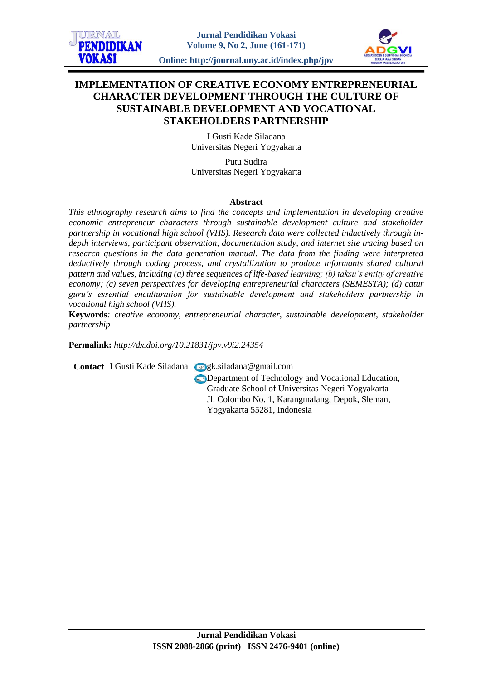URNAL **Jurnal Pendidikan Vokasi PENDIDIKAN Volume 9, No 2, June (161-171) VOKASI Online: http://journal.uny.ac.id/index.php/jpv**

# **IMPLEMENTATION OF CREATIVE ECONOMY ENTREPRENEURIAL CHARACTER DEVELOPMENT THROUGH THE CULTURE OF SUSTAINABLE DEVELOPMENT AND VOCATIONAL STAKEHOLDERS PARTNERSHIP**

I Gusti Kade Siladana Universitas Negeri Yogyakarta

Putu Sudira Universitas Negeri Yogyakarta

# **Abstract**

*This ethnography research aims to find the concepts and implementation in developing creative economic entrepreneur characters through sustainable development culture and stakeholder partnership in vocational high school (VHS). Research data were collected inductively through indepth interviews, participant observation, documentation study, and internet site tracing based on research questions in the data generation manual. The data from the finding were interpreted deductively through coding process, and crystallization to produce informants shared cultural pattern and values, including (a) three sequences of life-based learning; (b) taksu's entity of creative economy; (c) seven perspectives for developing entrepreneurial characters (SEMESTA); (d) catur guru's essential enculturation for sustainable development and stakeholders partnership in vocational high school (VHS).*

**Keywords***: creative economy, entrepreneurial character, sustainable development, stakeholder partnership*

**Permalink:** *http://dx.doi.org[/10.21831/jpv.v9i2.24354](http://dx.doi.org/10.21831/jpv.v9i2.24354)*

**Contact** I Gusti Kade Siladana **g**k.siladana@gmail.com

**Department of Technology and Vocational Education.** Graduate School of Universitas Negeri Yogyakarta Jl. Colombo No. 1, Karangmalang, Depok, Sleman, Yogyakarta 55281, Indonesia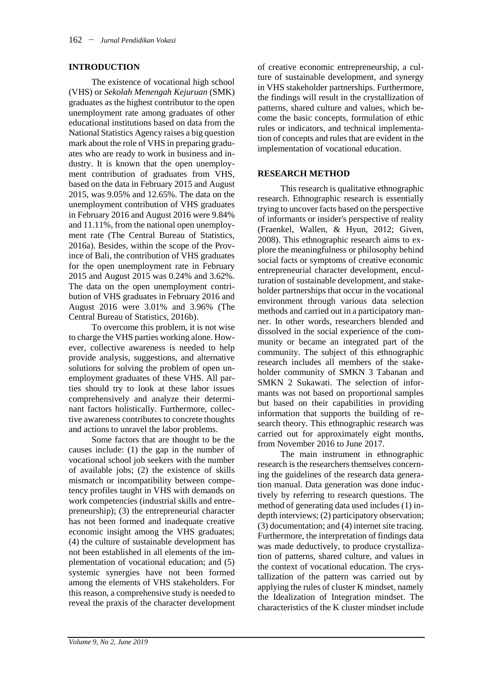# **INTRODUCTION**

The existence of vocational high school (VHS) or *Sekolah Menengah Kejuruan* (SMK) graduates as the highest contributor to the open unemployment rate among graduates of other educational institutions based on data from the National Statistics Agency raises a big question mark about the role of VHS in preparing graduates who are ready to work in business and industry. It is known that the open unemployment contribution of graduates from VHS, based on the data in February 2015 and August 2015, was 9.05% and 12.65%. The data on the unemployment contribution of VHS graduates in February 2016 and August 2016 were 9.84% and 11.11%, from the national open unemployment rate (The Central Bureau of Statistics, 2016a). Besides, within the scope of the Province of Bali, the contribution of VHS graduates for the open unemployment rate in February 2015 and August 2015 was 0.24% and 3.62%. The data on the open unemployment contribution of VHS graduates in February 2016 and August 2016 were 3.01% and 3.96% (The Central Bureau of Statistics, 2016b).

To overcome this problem, it is not wise to charge the VHS parties working alone. However, collective awareness is needed to help provide analysis, suggestions, and alternative solutions for solving the problem of open unemployment graduates of these VHS. All parties should try to look at these labor issues comprehensively and analyze their determinant factors holistically. Furthermore, collective awareness contributes to concrete thoughts and actions to unravel the labor problems.

Some factors that are thought to be the causes include: (1) the gap in the number of vocational school job seekers with the number of available jobs; (2) the existence of skills mismatch or incompatibility between competency profiles taught in VHS with demands on work competencies (industrial skills and entrepreneurship); (3) the entrepreneurial character has not been formed and inadequate creative economic insight among the VHS graduates; (4) the culture of sustainable development has not been established in all elements of the implementation of vocational education; and (5) systemic synergies have not been formed among the elements of VHS stakeholders. For this reason, a comprehensive study is needed to reveal the praxis of the character development

of creative economic entrepreneurship, a culture of sustainable development, and synergy in VHS stakeholder partnerships. Furthermore, the findings will result in the crystallization of patterns, shared culture and values, which become the basic concepts, formulation of ethic rules or indicators, and technical implementation of concepts and rules that are evident in the implementation of vocational education.

# **RESEARCH METHOD**

This research is qualitative ethnographic research. Ethnographic research is essentially trying to uncover facts based on the perspective of informants or insider's perspective of reality (Fraenkel, Wallen, & Hyun, 2012; Given, 2008). This ethnographic research aims to explore the meaningfulness or philosophy behind social facts or symptoms of creative economic entrepreneurial character development, enculturation of sustainable development, and stakeholder partnerships that occur in the vocational environment through various data selection methods and carried out in a participatory manner. In other words, researchers blended and dissolved in the social experience of the community or became an integrated part of the community. The subject of this ethnographic research includes all members of the stakeholder community of SMKN 3 Tabanan and SMKN 2 Sukawati. The selection of informants was not based on proportional samples but based on their capabilities in providing information that supports the building of research theory. This ethnographic research was carried out for approximately eight months, from November 2016 to June 2017.

The main instrument in ethnographic research is the researchers themselves concerning the guidelines of the research data generation manual. Data generation was done inductively by referring to research questions. The method of generating data used includes (1) indepth interviews; (2) participatory observation; (3) documentation; and (4) internet site tracing. Furthermore, the interpretation of findings data was made deductively, to produce crystallization of patterns, shared culture, and values in the context of vocational education. The crystallization of the pattern was carried out by applying the rules of cluster K mindset, namely the Idealization of Integration mindset. The characteristics of the K cluster mindset include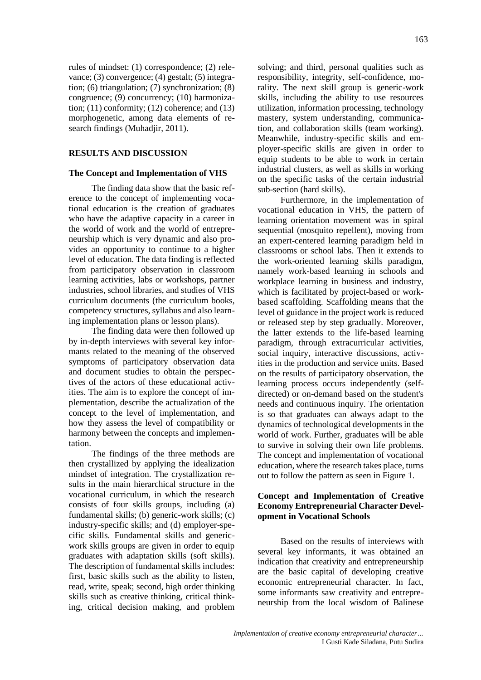rules of mindset: (1) correspondence; (2) relevance; (3) convergence; (4) gestalt; (5) integration; (6) triangulation; (7) synchronization; (8) congruence; (9) concurrency; (10) harmonization;  $(11)$  conformity;  $(12)$  coherence; and  $(13)$ morphogenetic, among data elements of research findings (Muhadjir, 2011).

# **RESULTS AND DISCUSSION**

# **The Concept and Implementation of VHS**

The finding data show that the basic reference to the concept of implementing vocational education is the creation of graduates who have the adaptive capacity in a career in the world of work and the world of entrepreneurship which is very dynamic and also provides an opportunity to continue to a higher level of education. The data finding is reflected from participatory observation in classroom learning activities, labs or workshops, partner industries, school libraries, and studies of VHS curriculum documents (the curriculum books, competency structures, syllabus and also learning implementation plans or lesson plans).

The finding data were then followed up by in-depth interviews with several key informants related to the meaning of the observed symptoms of participatory observation data and document studies to obtain the perspectives of the actors of these educational activities. The aim is to explore the concept of implementation, describe the actualization of the concept to the level of implementation, and how they assess the level of compatibility or harmony between the concepts and implementation.

The findings of the three methods are then crystallized by applying the idealization mindset of integration. The crystallization results in the main hierarchical structure in the vocational curriculum, in which the research consists of four skills groups, including (a) fundamental skills; (b) generic-work skills; (c) industry-specific skills; and (d) employer-specific skills. Fundamental skills and genericwork skills groups are given in order to equip graduates with adaptation skills (soft skills). The description of fundamental skills includes: first, basic skills such as the ability to listen, read, write, speak; second, high order thinking skills such as creative thinking, critical thinking, critical decision making, and problem

solving; and third, personal qualities such as responsibility, integrity, self-confidence, morality. The next skill group is generic-work skills, including the ability to use resources utilization, information processing, technology mastery, system understanding, communication, and collaboration skills (team working). Meanwhile, industry-specific skills and employer-specific skills are given in order to equip students to be able to work in certain industrial clusters, as well as skills in working on the specific tasks of the certain industrial sub-section (hard skills).

Furthermore, in the implementation of vocational education in VHS, the pattern of learning orientation movement was in spiral sequential (mosquito repellent), moving from an expert-centered learning paradigm held in classrooms or school labs. Then it extends to the work-oriented learning skills paradigm, namely work-based learning in schools and workplace learning in business and industry, which is facilitated by project-based or workbased scaffolding. Scaffolding means that the level of guidance in the project work is reduced or released step by step gradually. Moreover, the latter extends to the life-based learning paradigm, through extracurricular activities, social inquiry, interactive discussions, activities in the production and service units. Based on the results of participatory observation, the learning process occurs independently (selfdirected) or on-demand based on the student's needs and continuous inquiry. The orientation is so that graduates can always adapt to the dynamics of technological developments in the world of work. Further, graduates will be able to survive in solving their own life problems. The concept and implementation of vocational education, where the research takes place, turns out to follow the pattern as seen in Figure 1.

#### **Concept and Implementation of Creative Economy Entrepreneurial Character Development in Vocational Schools**

Based on the results of interviews with several key informants, it was obtained an indication that creativity and entrepreneurship are the basic capital of developing creative economic entrepreneurial character. In fact, some informants saw creativity and entrepreneurship from the local wisdom of Balinese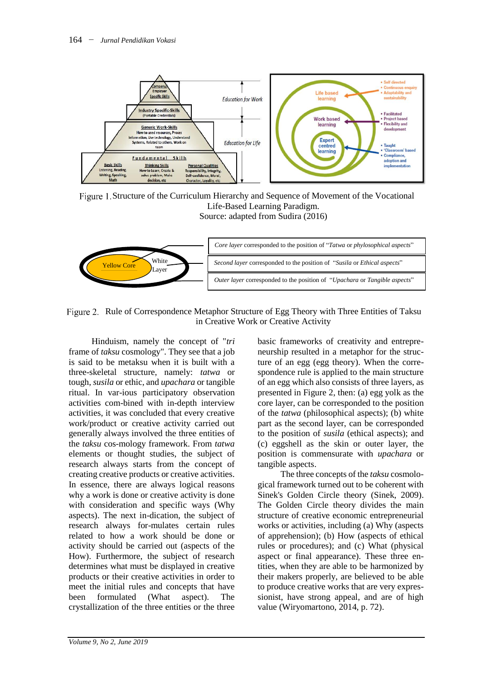

Structure of the Curriculum Hierarchy and Sequence of Movement of the Vocational Life-Based Learning Paradigm. Source: adapted from Sudira (2016)



Figure 2. Rule of Correspondence Metaphor Structure of Egg Theory with Three Entities of Taksu in Creative Work or Creative Activity

Hinduism, namely the concept of "*tri*  frame of *taksu* cosmology". They see that a job is said to be metaksu when it is built with a three-skeletal structure, namely: *tatwa* or tough, *susila* or ethic, and *upachara* or tangible ritual. In var-ious participatory observation activities com-bined with in-depth interview activities, it was concluded that every creative work/product or creative activity carried out generally always involved the three entities of the *taksu* cos-mology framework. From *tatwa* elements or thought studies, the subject of research always starts from the concept of creating creative products or creative activities. In essence, there are always logical reasons why a work is done or creative activity is done with consideration and specific ways (Why aspects). The next in-dication, the subject of research always for-mulates certain rules related to how a work should be done or activity should be carried out (aspects of the How). Furthermore, the subject of research determines what must be displayed in creative products or their creative activities in order to meet the initial rules and concepts that have been formulated (What aspect). The crystallization of the three entities or the three

basic frameworks of creativity and entrepreneurship resulted in a metaphor for the structure of an egg (egg theory). When the correspondence rule is applied to the main structure of an egg which also consists of three layers, as presented in Figure 2, then: (a) egg yolk as the core layer, can be corresponded to the position of the *tatwa* (philosophical aspects); (b) white part as the second layer, can be corresponded to the position of *susila* (ethical aspects); and (c) eggshell as the skin or outer layer, the position is commensurate with *upachara* or tangible aspects.

The three concepts of the *taksu* cosmological framework turned out to be coherent with Sinek's Golden Circle theory (Sinek, 2009). The Golden Circle theory divides the main structure of creative economic entrepreneurial works or activities, including (a) Why (aspects of apprehension); (b) How (aspects of ethical rules or procedures); and (c) What (physical aspect or final appearance). These three entities, when they are able to be harmonized by their makers properly, are believed to be able to produce creative works that are very expressionist, have strong appeal, and are of high value (Wiryomartono, 2014, p. 72).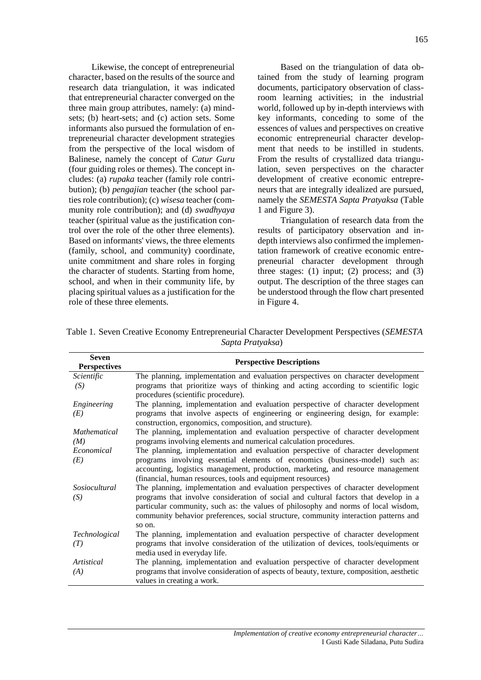Likewise, the concept of entrepreneurial character, based on the results of the source and research data triangulation, it was indicated that entrepreneurial character converged on the three main group attributes, namely: (a) mindsets; (b) heart-sets; and (c) action sets. Some informants also pursued the formulation of entrepreneurial character development strategies from the perspective of the local wisdom of Balinese, namely the concept of *Catur Guru* (four guiding roles or themes). The concept includes: (a) *rupaka* teacher (family role contribution); (b) *pengajian* teacher (the school parties role contribution); (c) *wisesa* teacher (community role contribution); and (d) *swadhyaya* teacher (spiritual value as the justification control over the role of the other three elements). Based on informants' views, the three elements (family, school, and community) coordinate, unite commitment and share roles in forging the character of students. Starting from home, school, and when in their community life, by placing spiritual values as a justification for the role of these three elements.

Based on the triangulation of data obtained from the study of learning program documents, participatory observation of classroom learning activities; in the industrial world, followed up by in-depth interviews with key informants, conceding to some of the essences of values and perspectives on creative economic entrepreneurial character development that needs to be instilled in students. From the results of crystallized data triangulation, seven perspectives on the character development of creative economic entrepreneurs that are integrally idealized are pursued, namely the *SEMESTA Sapta Pratyaksa* (Table 1 and Figure 3).

Triangulation of research data from the results of participatory observation and indepth interviews also confirmed the implementation framework of creative economic entrepreneurial character development through three stages:  $(1)$  input;  $(2)$  process; and  $(3)$ output. The description of the three stages can be understood through the flow chart presented in Figure 4.

Table 1. Seven Creative Economy Entrepreneurial Character Development Perspectives (*SEMESTA Sapta Pratyaksa*)

| Seven<br><b>Perspectives</b> | <b>Perspective Descriptions</b>                                                                                                                                                                                                                                                                                                                                   |
|------------------------------|-------------------------------------------------------------------------------------------------------------------------------------------------------------------------------------------------------------------------------------------------------------------------------------------------------------------------------------------------------------------|
| Scientific<br>(S)            | The planning, implementation and evaluation perspectives on character development<br>programs that prioritize ways of thinking and acting according to scientific logic<br>procedures (scientific procedure).                                                                                                                                                     |
| Engineering<br>(E)           | The planning, implementation and evaluation perspective of character development<br>programs that involve aspects of engineering or engineering design, for example:<br>construction, ergonomics, composition, and structure).                                                                                                                                    |
| <i>Mathematical</i><br>(M)   | The planning, implementation and evaluation perspective of character development<br>programs involving elements and numerical calculation procedures.                                                                                                                                                                                                             |
| Economical<br>(E)            | The planning, implementation and evaluation perspective of character development<br>programs involving essential elements of economics (business-model) such as:<br>accounting, logistics management, production, marketing, and resource management<br>(financial, human resources, tools and equipment resources)                                               |
| Sosiocultural<br>(S)         | The planning, implementation and evaluation perspectives of character development<br>programs that involve consideration of social and cultural factors that develop in a<br>particular community, such as: the values of philosophy and norms of local wisdom,<br>community behavior preferences, social structure, community interaction patterns and<br>so on. |
| <i>Technological</i><br>(T)  | The planning, implementation and evaluation perspective of character development<br>programs that involve consideration of the utilization of devices, tools/equiments or<br>media used in everyday life.                                                                                                                                                         |
| Artistical<br>(A)            | The planning, implementation and evaluation perspective of character development<br>programs that involve consideration of aspects of beauty, texture, composition, aesthetic<br>values in creating a work.                                                                                                                                                       |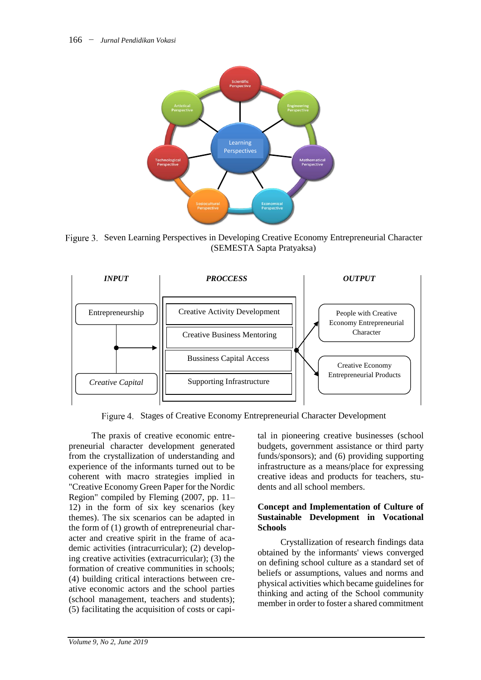

Figure 3. Seven Learning Perspectives in Developing Creative Economy Entrepreneurial Character (SEMESTA Sapta Pratyaksa)



Figure 4. Stages of Creative Economy Entrepreneurial Character Development

The praxis of creative economic entrepreneurial character development generated from the crystallization of understanding and experience of the informants turned out to be coherent with macro strategies implied in "Creative Economy Green Paper for the Nordic Region" compiled by Fleming (2007, pp. 11– 12) in the form of six key scenarios (key themes). The six scenarios can be adapted in the form of (1) growth of entrepreneurial character and creative spirit in the frame of academic activities (intracurricular); (2) developing creative activities (extracurricular); (3) the formation of creative communities in schools; (4) building critical interactions between creative economic actors and the school parties (school management, teachers and students); (5) facilitating the acquisition of costs or capital in pioneering creative businesses (school budgets, government assistance or third party funds/sponsors); and (6) providing supporting infrastructure as a means/place for expressing creative ideas and products for teachers, students and all school members.

#### **Concept and Implementation of Culture of Sustainable Development in Vocational Schools**

Crystallization of research findings data obtained by the informants' views converged on defining school culture as a standard set of beliefs or assumptions, values and norms and physical activities which became guidelines for thinking and acting of the School community member in order to foster a shared commitment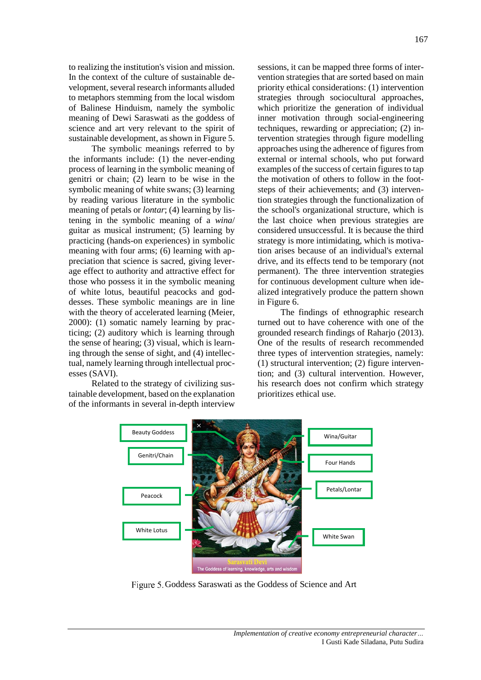to realizing the institution's vision and mission. In the context of the culture of sustainable development, several research informants alluded to metaphors stemming from the local wisdom of Balinese Hinduism, namely the symbolic meaning of Dewi Saraswati as the goddess of science and art very relevant to the spirit of sustainable development, as shown in Figure 5.

The symbolic meanings referred to by the informants include: (1) the never-ending process of learning in the symbolic meaning of genitri or chain; (2) learn to be wise in the symbolic meaning of white swans; (3) learning by reading various literature in the symbolic meaning of petals or *lontar*; (4) learning by listening in the symbolic meaning of a *wina*/ guitar as musical instrument; (5) learning by practicing (hands-on experiences) in symbolic meaning with four arms; (6) learning with appreciation that science is sacred, giving leverage effect to authority and attractive effect for those who possess it in the symbolic meaning of white lotus, beautiful peacocks and goddesses. These symbolic meanings are in line with the theory of accelerated learning (Meier, 2000): (1) somatic namely learning by practicing; (2) auditory which is learning through the sense of hearing; (3) visual, which is learning through the sense of sight, and (4) intellectual, namely learning through intellectual processes (SAVI).

Related to the strategy of civilizing sustainable development, based on the explanation of the informants in several in-depth interview

sessions, it can be mapped three forms of intervention strategies that are sorted based on main priority ethical considerations: (1) intervention strategies through sociocultural approaches, which prioritize the generation of individual inner motivation through social-engineering techniques, rewarding or appreciation; (2) intervention strategies through figure modelling approaches using the adherence of figures from external or internal schools, who put forward examples of the success of certain figures to tap the motivation of others to follow in the footsteps of their achievements; and (3) intervention strategies through the functionalization of the school's organizational structure, which is the last choice when previous strategies are considered unsuccessful. It is because the third strategy is more intimidating, which is motivation arises because of an individual's external drive, and its effects tend to be temporary (not permanent). The three intervention strategies for continuous development culture when idealized integratively produce the pattern shown in Figure 6.

The findings of ethnographic research turned out to have coherence with one of the grounded research findings of Raharjo (2013). One of the results of research recommended three types of intervention strategies, namely: (1) structural intervention; (2) figure intervention; and (3) cultural intervention. However, his research does not confirm which strategy prioritizes ethical use.



Figure 5. Goddess Saraswati as the Goddess of Science and Art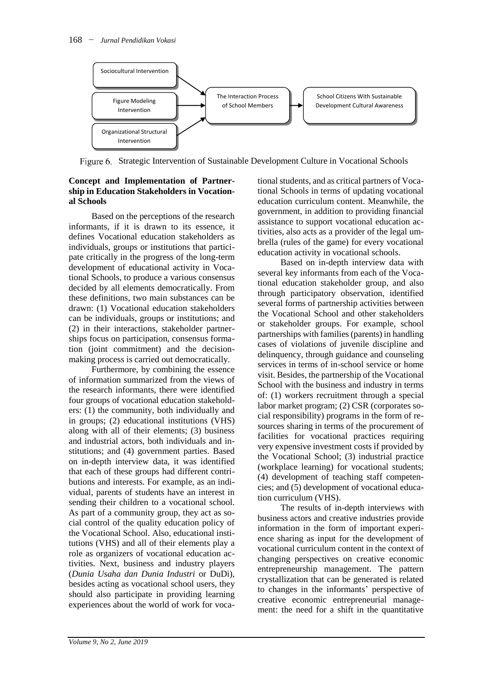

Figure 6. Strategic Intervention of Sustainable Development Culture in Vocational Schools

# **Concept and Implementation of Partnership in Education Stakeholders in Vocational Schools**

Based on the perceptions of the research informants, if it is drawn to its essence, it defines Vocational education stakeholders as individuals, groups or institutions that participate critically in the progress of the long-term development of educational activity in Vocational Schools, to produce a various consensus decided by all elements democratically. From these definitions, two main substances can be drawn: (1) Vocational education stakeholders can be individuals, groups or institutions; and (2) in their interactions, stakeholder partnerships focus on participation, consensus formation (joint commitment) and the decisionmaking process is carried out democratically.

Furthermore, by combining the essence of information summarized from the views of the research informants, there were identified four groups of vocational education stakeholders: (1) the community, both individually and in groups; (2) educational institutions (VHS) along with all of their elements; (3) business and industrial actors, both individuals and institutions; and (4) government parties. Based on in-depth interview data, it was identified that each of these groups had different contributions and interests. For example, as an individual, parents of students have an interest in sending their children to a vocational school. As part of a community group, they act as social control of the quality education policy of the Vocational School. Also, educational institutions (VHS) and all of their elements play a role as organizers of vocational education activities. Next, business and industry players (*Dunia Usaha dan Dunia Industri* or DuDi), besides acting as vocational school users, they should also participate in providing learning experiences about the world of work for voca-

tional students, and as critical partners of Vocational Schools in terms of updating vocational education curriculum content. Meanwhile, the government, in addition to providing financial assistance to support vocational education activities, also acts as a provider of the legal umbrella (rules of the game) for every vocational education activity in vocational schools.

Based on in-depth interview data with several key informants from each of the Vocational education stakeholder group, and also through participatory observation, identified several forms of partnership activities between the Vocational School and other stakeholders or stakeholder groups. For example, school partnerships with families (parents) in handling cases of violations of juvenile discipline and delinquency, through guidance and counseling services in terms of in-school service or home visit. Besides, the partnership of the Vocational School with the business and industry in terms of: (1) workers recruitment through a special labor market program; (2) CSR (corporates social responsibility) programs in the form of resources sharing in terms of the procurement of facilities for vocational practices requiring very expensive investment costs if provided by the Vocational School; (3) industrial practice (workplace learning) for vocational students; (4) development of teaching staff competencies; and (5) development of vocational education curriculum (VHS).

The results of in-depth interviews with business actors and creative industries provide information in the form of important experience sharing as input for the development of vocational curriculum content in the context of changing perspectives on creative economic entrepreneurship management. The pattern crystallization that can be generated is related to changes in the informants' perspective of creative economic entrepreneurial management: the need for a shift in the quantitative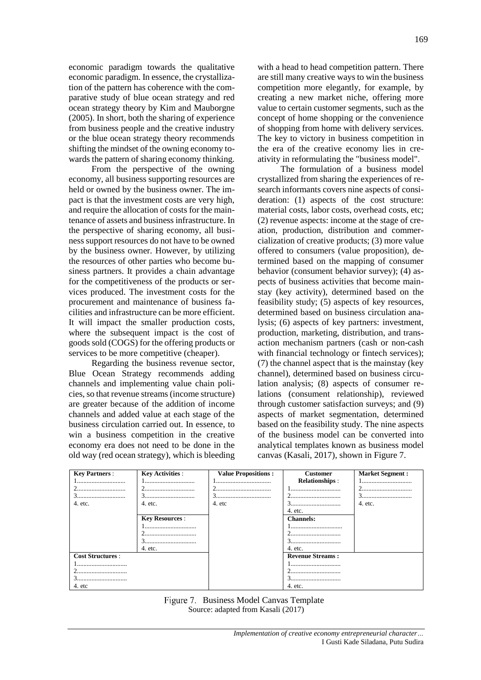economic paradigm towards the qualitative economic paradigm. In essence, the crystallization of the pattern has coherence with the comparative study of blue ocean strategy and red ocean strategy theory by Kim and Mauborgne (2005). In short, both the sharing of experience from business people and the creative industry or the blue ocean strategy theory recommends shifting the mindset of the owning economy towards the pattern of sharing economy thinking.

From the perspective of the owning economy, all business supporting resources are held or owned by the business owner. The impact is that the investment costs are very high, and require the allocation of costs for the maintenance of assets and business infrastructure. In the perspective of sharing economy, all business support resources do not have to be owned by the business owner. However, by utilizing the resources of other parties who become business partners. It provides a chain advantage for the competitiveness of the products or services produced. The investment costs for the procurement and maintenance of business facilities and infrastructure can be more efficient. It will impact the smaller production costs, where the subsequent impact is the cost of goods sold (COGS) for the offering products or services to be more competitive (cheaper).

Regarding the business revenue sector, Blue Ocean Strategy recommends adding channels and implementing value chain policies, so that revenue streams (income structure) are greater because of the addition of income channels and added value at each stage of the business circulation carried out. In essence, to win a business competition in the creative economy era does not need to be done in the old way (red ocean strategy), which is bleeding

with a head to head competition pattern. There are still many creative ways to win the business competition more elegantly, for example, by creating a new market niche, offering more value to certain customer segments, such as the concept of home shopping or the convenience of shopping from home with delivery services. The key to victory in business competition in the era of the creative economy lies in creativity in reformulating the "business model".

The formulation of a business model crystallized from sharing the experiences of research informants covers nine aspects of consideration: (1) aspects of the cost structure: material costs, labor costs, overhead costs, etc; (2) revenue aspects: income at the stage of creation, production, distribution and commercialization of creative products; (3) more value offered to consumers (value proposition), determined based on the mapping of consumer behavior (consument behavior survey); (4) aspects of business activities that become mainstay (key activity), determined based on the feasibility study; (5) aspects of key resources, determined based on business circulation analysis; (6) aspects of key partners: investment, production, marketing, distribution, and transaction mechanism partners (cash or non-cash with financial technology or fintech services); (7) the channel aspect that is the mainstay (key channel), determined based on business circulation analysis; (8) aspects of consumer relations (consument relationship), reviewed through customer satisfaction surveys; and (9) aspects of market segmentation, determined based on the feasibility study. The nine aspects of the business model can be converted into analytical templates known as business model canvas (Kasali, 2017), shown in Figure 7.

| <b>Key Partners:</b>    | <b>Key Activities:</b> | <b>Value Propositions:</b> | <b>Customer</b>         | <b>Market Segment:</b> |
|-------------------------|------------------------|----------------------------|-------------------------|------------------------|
| 1                       |                        |                            | <b>Relationships:</b>   | 1                      |
|                         |                        |                            |                         | <u>4</u>               |
| 3                       |                        |                            |                         |                        |
| 4. etc.                 | 4. etc.                | 4. etc                     |                         | 4. etc.                |
|                         |                        |                            | 4. etc.                 |                        |
|                         | <b>Key Resources:</b>  |                            | <b>Channels:</b>        |                        |
|                         | 1                      |                            |                         |                        |
|                         |                        |                            |                         |                        |
|                         |                        |                            | 3                       |                        |
|                         | 4. etc.                |                            | 4. etc.                 |                        |
| <b>Cost Structures:</b> |                        |                            | <b>Revenue Streams:</b> |                        |
| 1                       |                        |                            | 1                       |                        |
|                         |                        |                            |                         |                        |
|                         |                        |                            | 3                       |                        |
| 4. etc                  |                        |                            | 4. etc.                 |                        |

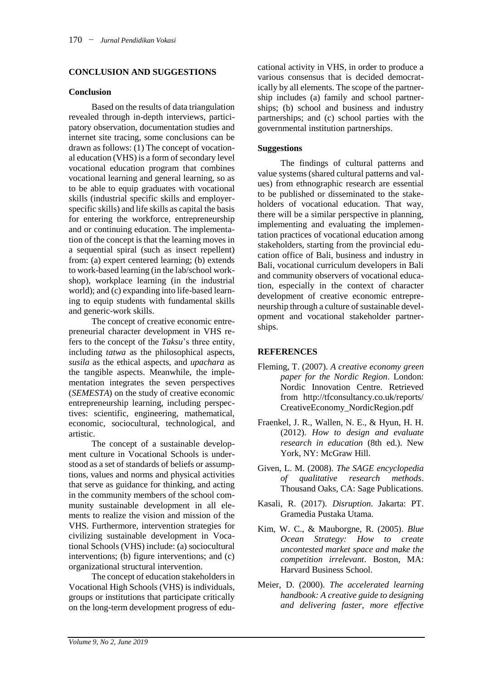# **CONCLUSION AND SUGGESTIONS**

#### **Conclusion**

Based on the results of data triangulation revealed through in-depth interviews, participatory observation, documentation studies and internet site tracing, some conclusions can be drawn as follows: (1) The concept of vocational education (VHS) is a form of secondary level vocational education program that combines vocational learning and general learning, so as to be able to equip graduates with vocational skills (industrial specific skills and employerspecific skills) and life skills as capital the basis for entering the workforce, entrepreneurship and or continuing education. The implementation of the concept is that the learning moves in a sequential spiral (such as insect repellent) from: (a) expert centered learning; (b) extends to work-based learning (in the lab/school workshop), workplace learning (in the industrial world); and (c) expanding into life-based learning to equip students with fundamental skills and generic-work skills.

The concept of creative economic entrepreneurial character development in VHS refers to the concept of the *Taksu*'s three entity, including *tatwa* as the philosophical aspects, *susila* as the ethical aspects, and *upachara* as the tangible aspects. Meanwhile, the implementation integrates the seven perspectives (*SEMESTA*) on the study of creative economic entrepreneurship learning, including perspectives: scientific, engineering, mathematical, economic, sociocultural, technological, and artistic.

The concept of a sustainable development culture in Vocational Schools is understood as a set of standards of beliefs or assumptions, values and norms and physical activities that serve as guidance for thinking, and acting in the community members of the school community sustainable development in all elements to realize the vision and mission of the VHS. Furthermore, intervention strategies for civilizing sustainable development in Vocational Schools (VHS) include: (a) sociocultural interventions; (b) figure interventions; and (c) organizational structural intervention.

The concept of education stakeholders in Vocational High Schools (VHS) is individuals, groups or institutions that participate critically on the long-term development progress of educational activity in VHS, in order to produce a various consensus that is decided democratically by all elements. The scope of the partnership includes (a) family and school partnerships; (b) school and business and industry partnerships; and (c) school parties with the governmental institution partnerships.

#### **Suggestions**

The findings of cultural patterns and value systems (shared cultural patterns and values) from ethnographic research are essential to be published or disseminated to the stakeholders of vocational education. That way, there will be a similar perspective in planning, implementing and evaluating the implementation practices of vocational education among stakeholders, starting from the provincial education office of Bali, business and industry in Bali, vocational curriculum developers in Bali and community observers of vocational education, especially in the context of character development of creative economic entrepreneurship through a culture of sustainable development and vocational stakeholder partnerships.

#### **REFERENCES**

- Fleming, T. (2007). *A creative economy green paper for the Nordic Region*. London: Nordic Innovation Centre. Retrieved from http://tfconsultancy.co.uk/reports/ CreativeEconomy\_NordicRegion.pdf
- Fraenkel, J. R., Wallen, N. E., & Hyun, H. H. (2012). *How to design and evaluate research in education* (8th ed.). New York, NY: McGraw Hill.
- Given, L. M. (2008). *The SAGE encyclopedia of qualitative research methods*. Thousand Oaks, CA: Sage Publications.
- Kasali, R. (2017). *Disruption*. Jakarta: PT. Gramedia Pustaka Utama.
- Kim, W. C., & Mauborgne, R. (2005). *Blue Ocean Strategy: How to create uncontested market space and make the competition irrelevant*. Boston, MA: Harvard Business School.
- Meier, D. (2000). *The accelerated learning handbook: A creative guide to designing and delivering faster, more effective*